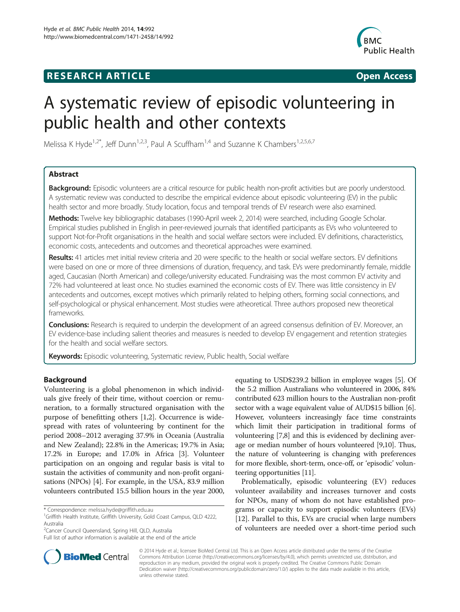## **RESEARCH ARTICLE Example 2018 12:00 THE Open Access**



# A systematic review of episodic volunteering in public health and other contexts

Melissa K Hyde<sup>1,2\*</sup>, Jeff Dunn<sup>1,2,3</sup>, Paul A Scuffham<sup>1,4</sup> and Suzanne K Chambers<sup>1,2,5,6,7</sup>

## Abstract

**Background:** Episodic volunteers are a critical resource for public health non-profit activities but are poorly understood. A systematic review was conducted to describe the empirical evidence about episodic volunteering (EV) in the public health sector and more broadly. Study location, focus and temporal trends of EV research were also examined.

Methods: Twelve key bibliographic databases (1990-April week 2, 2014) were searched, including Google Scholar. Empirical studies published in English in peer-reviewed journals that identified participants as EVs who volunteered to support Not-for-Profit organisations in the health and social welfare sectors were included. EV definitions, characteristics, economic costs, antecedents and outcomes and theoretical approaches were examined.

Results: 41 articles met initial review criteria and 20 were specific to the health or social welfare sectors. EV definitions were based on one or more of three dimensions of duration, frequency, and task. EVs were predominantly female, middle aged, Caucasian (North American) and college/university educated. Fundraising was the most common EV activity and 72% had volunteered at least once. No studies examined the economic costs of EV. There was little consistency in EV antecedents and outcomes, except motives which primarily related to helping others, forming social connections, and self-psychological or physical enhancement. Most studies were atheoretical. Three authors proposed new theoretical frameworks.

Conclusions: Research is required to underpin the development of an agreed consensus definition of EV. Moreover, an EV evidence-base including salient theories and measures is needed to develop EV engagement and retention strategies for the health and social welfare sectors.

Keywords: Episodic volunteering, Systematic review, Public health, Social welfare

#### Background

Volunteering is a global phenomenon in which individuals give freely of their time, without coercion or remuneration, to a formally structured organisation with the purpose of benefitting others [\[1,2](#page-13-0)]. Occurrence is widespread with rates of volunteering by continent for the period 2008–2012 averaging 37.9% in Oceania (Australia and New Zealand); 22.8% in the Americas; 19.7% in Asia; 17.2% in Europe; and 17.0% in Africa [\[3](#page-13-0)]. Volunteer participation on an ongoing and regular basis is vital to sustain the activities of community and non-profit organisations (NPOs) [[4](#page-13-0)]. For example, in the USA, 83.9 million volunteers contributed 15.5 billion hours in the year 2000,

equating to USD\$239.2 billion in employee wages [[5](#page-13-0)]. Of the 5.2 million Australians who volunteered in 2006, 84% contributed 623 million hours to the Australian non-profit sector with a wage equivalent value of AUD\$15 billion [[6](#page-13-0)]. However, volunteers increasingly face time constraints which limit their participation in traditional forms of volunteering [\[7,8\]](#page-13-0) and this is evidenced by declining average or median number of hours volunteered [\[9,10](#page-13-0)]. Thus, the nature of volunteering is changing with preferences for more flexible, short-term, once-off, or 'episodic' volunteering opportunities [\[11\]](#page-13-0).

Problematically, episodic volunteering (EV) reduces volunteer availability and increases turnover and costs for NPOs, many of whom do not have established programs or capacity to support episodic volunteers (EVs) [[12\]](#page-13-0). Parallel to this, EVs are crucial when large numbers of volunteers are needed over a short-time period such



© 2014 Hyde et al.; licensee BioMed Central Ltd. This is an Open Access article distributed under the terms of the Creative Commons Attribution License [\(http://creativecommons.org/licenses/by/4.0\)](http://creativecommons.org/licenses/by/4.0), which permits unrestricted use, distribution, and reproduction in any medium, provided the original work is properly credited. The Creative Commons Public Domain Dedication waiver [\(http://creativecommons.org/publicdomain/zero/1.0/](http://creativecommons.org/publicdomain/zero/1.0/)) applies to the data made available in this article, unless otherwise stated.

<sup>\*</sup> Correspondence: [melissa.hyde@griffith.edu.au](mailto:melissa.hyde@griffith.edu.au) <sup>1</sup>

<sup>&</sup>lt;sup>1</sup>Griffith Health Institute, Griffith University, Gold Coast Campus, QLD 4222, Australia

<sup>&</sup>lt;sup>2</sup> Cancer Council Queensland, Spring Hill, QLD, Australia

Full list of author information is available at the end of the article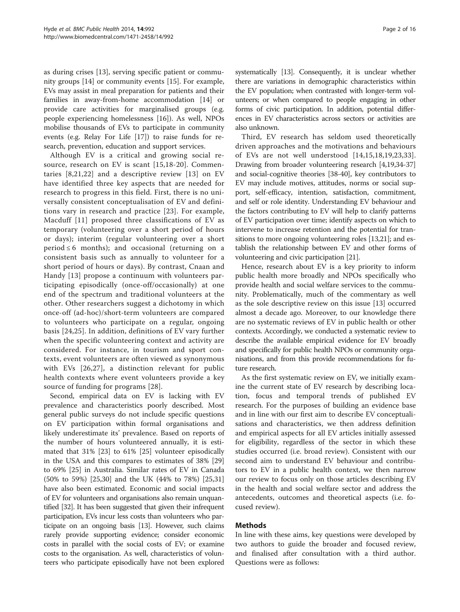as during crises [[13](#page-13-0)], serving specific patient or community groups [\[14](#page-13-0)] or community events [\[15](#page-13-0)]. For example, EVs may assist in meal preparation for patients and their families in away-from-home accommodation [[14\]](#page-13-0) or provide care activities for marginalised groups (e.g. people experiencing homelessness [\[16\]](#page-13-0)). As well, NPOs mobilise thousands of EVs to participate in community events (e.g. Relay For Life [\[17](#page-13-0)]) to raise funds for research, prevention, education and support services.

Although EV is a critical and growing social resource, research on EV is scant [[15,18](#page-13-0)-[20](#page-13-0)]. Commentaries [[8](#page-13-0),[21,22](#page-13-0)] and a descriptive review [[13\]](#page-13-0) on EV have identified three key aspects that are needed for research to progress in this field. First, there is no universally consistent conceptualisation of EV and definitions vary in research and practice [[23](#page-13-0)]. For example, Macduff [[11](#page-13-0)] proposed three classifications of EV as temporary (volunteering over a short period of hours or days); interim (regular volunteering over a short  $period \leq 6$  months); and occasional (returning on a consistent basis such as annually to volunteer for a short period of hours or days). By contrast, Cnaan and Handy [\[13\]](#page-13-0) propose a continuum with volunteers participating episodically (once-off/occasionally) at one end of the spectrum and traditional volunteers at the other. Other researchers suggest a dichotomy in which once-off (ad-hoc)/short-term volunteers are compared to volunteers who participate on a regular, ongoing basis [\[24,25](#page-13-0)]. In addition, definitions of EV vary further when the specific volunteering context and activity are considered. For instance, in tourism and sport contexts, event volunteers are often viewed as synonymous with EVs [\[26,27](#page-13-0)], a distinction relevant for public health contexts where event volunteers provide a key source of funding for programs [[28](#page-13-0)].

Second, empirical data on EV is lacking with EV prevalence and characteristics poorly described. Most general public surveys do not include specific questions on EV participation within formal organisations and likely underestimate its' prevalence. Based on reports of the number of hours volunteered annually, it is estimated that 31% [\[23](#page-13-0)] to 61% [[25](#page-13-0)] volunteer episodically in the USA and this compares to estimates of 38% [[29](#page-13-0)] to 69% [[25](#page-13-0)] in Australia. Similar rates of EV in Canada (50% to 59%) [[25,30\]](#page-13-0) and the UK (44% to 78%) [[25](#page-13-0),[31](#page-14-0)] have also been estimated. Economic and social impacts of EV for volunteers and organisations also remain unquantified [\[32\]](#page-14-0). It has been suggested that given their infrequent participation, EVs incur less costs than volunteers who participate on an ongoing basis [\[13\]](#page-13-0). However, such claims rarely provide supporting evidence; consider economic costs in parallel with the social costs of EV; or examine costs to the organisation. As well, characteristics of volunteers who participate episodically have not been explored systematically [\[13](#page-13-0)]. Consequently, it is unclear whether there are variations in demographic characteristics within the EV population; when contrasted with longer-term volunteers; or when compared to people engaging in other forms of civic participation. In addition, potential differences in EV characteristics across sectors or activities are also unknown.

Third, EV research has seldom used theoretically driven approaches and the motivations and behaviours of EVs are not well understood [\[14](#page-13-0),[15,18](#page-13-0),[19,23,](#page-13-0)[33](#page-14-0)]. Drawing from broader volunteering research [\[4,19,](#page-13-0)[34](#page-14-0)-[37](#page-14-0)] and social-cognitive theories [[38](#page-14-0)-[40](#page-14-0)], key contributors to EV may include motives, attitudes, norms or social support, self-efficacy, intention, satisfaction, commitment, and self or role identity. Understanding EV behaviour and the factors contributing to EV will help to clarify patterns of EV participation over time; identify aspects on which to intervene to increase retention and the potential for transitions to more ongoing volunteering roles [\[13,21\]](#page-13-0); and establish the relationship between EV and other forms of volunteering and civic participation [[21](#page-13-0)].

Hence, research about EV is a key priority to inform public health more broadly and NPOs specifically who provide health and social welfare services to the community. Problematically, much of the commentary as well as the sole descriptive review on this issue [\[13](#page-13-0)] occurred almost a decade ago. Moreover, to our knowledge there are no systematic reviews of EV in public health or other contexts. Accordingly, we conducted a systematic review to describe the available empirical evidence for EV broadly and specifically for public health NPOs or community organisations, and from this provide recommendations for future research.

As the first systematic review on EV, we initially examine the current state of EV research by describing location, focus and temporal trends of published EV research. For the purposes of building an evidence base and in line with our first aim to describe EV conceptualisations and characteristics, we then address definition and empirical aspects for all EV articles initially assessed for eligibility, regardless of the sector in which these studies occurred (i.e. broad review). Consistent with our second aim to understand EV behaviour and contributors to EV in a public health context, we then narrow our review to focus only on those articles describing EV in the health and social welfare sector and address the antecedents, outcomes and theoretical aspects (i.e. focused review).

#### Methods

In line with these aims, key questions were developed by two authors to guide the broader and focused review, and finalised after consultation with a third author. Questions were as follows: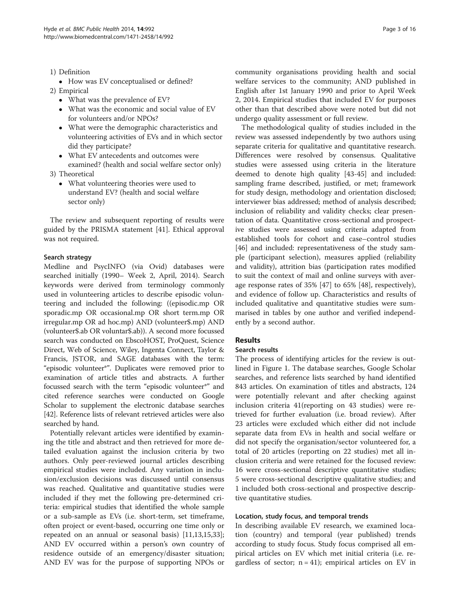- 1) Definition
	- How was EV conceptualised or defined?
- 2) Empirical
	- What was the prevalence of EV?
	- What was the economic and social value of EV for volunteers and/or NPOs?
	- What were the demographic characteristics and volunteering activities of EVs and in which sector did they participate?
	- What EV antecedents and outcomes were
- examined? (health and social welfare sector only) 3) Theoretical
	- What volunteering theories were used to understand EV? (health and social welfare sector only)

The review and subsequent reporting of results were guided by the PRISMA statement [[41\]](#page-14-0). Ethical approval was not required.

#### Search strategy

Medline and PsycINFO (via Ovid) databases were searched initially (1990– Week 2, April, 2014). Search keywords were derived from terminology commonly used in volunteering articles to describe episodic volunteering and included the following: ((episodic.mp OR sporadic.mp OR occasional.mp OR short term.mp OR irregular.mp OR ad hoc.mp) AND (volunteer\$.mp) AND (volunteer\$.ab OR voluntar\$.ab)). A second more focussed search was conducted on EbscoHOST, ProQuest, Science Direct, Web of Science, Wiley, Ingenta Connect, Taylor & Francis, JSTOR, and SAGE databases with the term: "episodic volunteer\*". Duplicates were removed prior to examination of article titles and abstracts. A further focussed search with the term "episodic volunteer\*" and cited reference searches were conducted on Google Scholar to supplement the electronic database searches [[42](#page-14-0)]. Reference lists of relevant retrieved articles were also searched by hand.

Potentially relevant articles were identified by examining the title and abstract and then retrieved for more detailed evaluation against the inclusion criteria by two authors. Only peer-reviewed journal articles describing empirical studies were included. Any variation in inclusion/exclusion decisions was discussed until consensus was reached. Qualitative and quantitative studies were included if they met the following pre-determined criteria: empirical studies that identified the whole sample or a sub-sample as EVs (i.e. short-term, set timeframe, often project or event-based, occurring one time only or repeated on an annual or seasonal basis) [[11,13,15](#page-13-0)[,33](#page-14-0)]; AND EV occurred within a person's own country of residence outside of an emergency/disaster situation; AND EV was for the purpose of supporting NPOs or community organisations providing health and social welfare services to the community; AND published in English after 1st January 1990 and prior to April Week 2, 2014. Empirical studies that included EV for purposes other than that described above were noted but did not undergo quality assessment or full review.

The methodological quality of studies included in the review was assessed independently by two authors using separate criteria for qualitative and quantitative research. Differences were resolved by consensus. Qualitative studies were assessed using criteria in the literature deemed to denote high quality [[43-45](#page-14-0)] and included: sampling frame described, justified, or met; framework for study design, methodology and orientation disclosed; interviewer bias addressed; method of analysis described; inclusion of reliability and validity checks; clear presentation of data. Quantitative cross-sectional and prospective studies were assessed using criteria adapted from established tools for cohort and case–control studies [[46\]](#page-14-0) and included: representativeness of the study sample (participant selection), measures applied (reliability and validity), attrition bias (participation rates modified to suit the context of mail and online surveys with average response rates of 35% [[47\]](#page-14-0) to 65% [\[48](#page-14-0)], respectively), and evidence of follow up. Characteristics and results of included qualitative and quantitative studies were summarised in tables by one author and verified independently by a second author.

#### Results

#### Search results

The process of identifying articles for the review is outlined in Figure [1](#page-3-0). The database searches, Google Scholar searches, and reference lists searched by hand identified 843 articles. On examination of titles and abstracts, 124 were potentially relevant and after checking against inclusion criteria 41(reporting on 43 studies) were retrieved for further evaluation (i.e. broad review). After 23 articles were excluded which either did not include separate data from EVs in health and social welfare or did not specify the organisation/sector volunteered for, a total of 20 articles (reporting on 22 studies) met all inclusion criteria and were retained for the focused review: 16 were cross-sectional descriptive quantitative studies; 5 were cross-sectional descriptive qualitative studies; and 1 included both cross-sectional and prospective descriptive quantitative studies.

#### Location, study focus, and temporal trends

In describing available EV research, we examined location (country) and temporal (year published) trends according to study focus. Study focus comprised all empirical articles on EV which met initial criteria (i.e. regardless of sector;  $n = 41$ ); empirical articles on EV in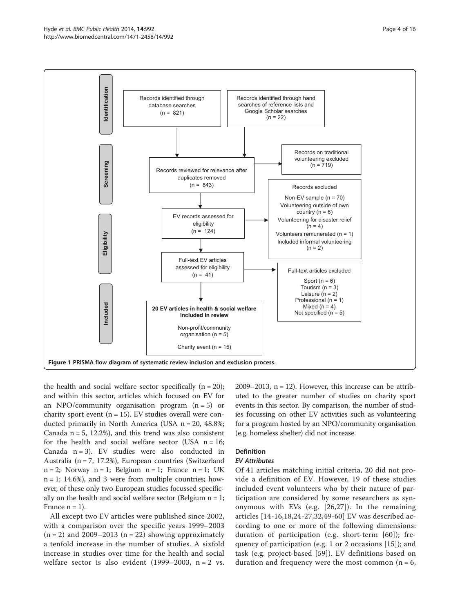<span id="page-3-0"></span>

the health and social welfare sector specifically  $(n = 20)$ ; and within this sector, articles which focused on EV for an NPO/community organisation program  $(n = 5)$  or charity sport event  $(n = 15)$ . EV studies overall were conducted primarily in North America (USA n = 20, 48.8%; Canada  $n = 5$ , 12.2%), and this trend was also consistent for the health and social welfare sector (USA  $n = 16$ ; Canada  $n = 3$ ). EV studies were also conducted in Australia (n = 7, 17.2%), European countries (Switzerland  $n = 2$ ; Norway  $n = 1$ ; Belgium  $n = 1$ ; France  $n = 1$ ; UK  $n = 1$ ; 14.6%), and 3 were from multiple countries; however, of these only two European studies focussed specifically on the health and social welfare sector (Belgium  $n = 1$ ; France  $n = 1$ ).

All except two EV articles were published since 2002, with a comparison over the specific years 1999–2003  $(n = 2)$  and 2009–2013  $(n = 22)$  showing approximately a tenfold increase in the number of studies. A sixfold increase in studies over time for the health and social welfare sector is also evident (1999–2003,  $n = 2$  vs.

 $2009 - 2013$ ,  $n = 12$ ). However, this increase can be attributed to the greater number of studies on charity sport events in this sector. By comparison, the number of studies focussing on other EV activities such as volunteering for a program hosted by an NPO/community organisation (e.g. homeless shelter) did not increase.

#### Definition

#### EV Attributes

Of 41 articles matching initial criteria, 20 did not provide a definition of EV. However, 19 of these studies included event volunteers who by their nature of participation are considered by some researchers as synonymous with EVs (e.g. [[26](#page-13-0),[27\]](#page-13-0)). In the remaining articles [[14](#page-13-0)-[16](#page-13-0),[18,24](#page-13-0)-[27](#page-13-0),[32,49-60](#page-14-0)] EV was described according to one or more of the following dimensions: duration of participation (e.g. short-term [[60\]](#page-14-0)); frequency of participation (e.g. 1 or 2 occasions [[15](#page-13-0)]); and task (e.g. project-based [[59\]](#page-14-0)). EV definitions based on duration and frequency were the most common  $(n = 6,$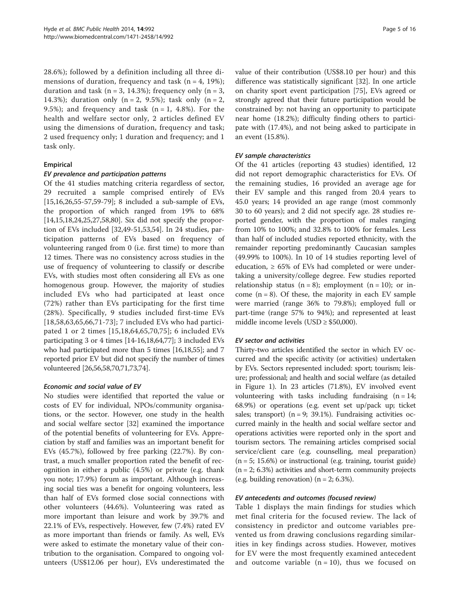28.6%); followed by a definition including all three dimensions of duration, frequency and task  $(n = 4, 19\%)$ ; duration and task ( $n = 3$ , 14.3%); frequency only ( $n = 3$ , 14.3%); duration only  $(n = 2, 9.5\%)$ ; task only  $(n = 2, 1.5\%)$ 9.5%); and frequency and task  $(n = 1, 4.8\%)$ . For the health and welfare sector only, 2 articles defined EV using the dimensions of duration, frequency and task; 2 used frequency only; 1 duration and frequency; and 1 task only.

#### Empirical

#### EV prevalence and participation patterns

Of the 41 studies matching criteria regardless of sector, 29 recruited a sample comprised entirely of EVs  $[15,16,26,55-57,59-79]$  $[15,16,26,55-57,59-79]$  $[15,16,26,55-57,59-79]$  $[15,16,26,55-57,59-79]$ ; 8 included a sub-sample of EVs, the proportion of which ranged from 19% to 68% [[14,15,18,24,25,27](#page-13-0),[58](#page-14-0),[80](#page-14-0)]. Six did not specify the proportion of EVs included [\[32,49](#page-14-0)-[51,53,54\]](#page-14-0). In 24 studies, participation patterns of EVs based on frequency of volunteering ranged from 0 (i.e. first time) to more than 12 times. There was no consistency across studies in the use of frequency of volunteering to classify or describe EVs, with studies most often considering all EVs as one homogenous group. However, the majority of studies included EVs who had participated at least once (72%) rather than EVs participating for the first time (28%). Specifically, 9 studies included first-time EVs [[18](#page-13-0),[58,63](#page-14-0),[65,66](#page-14-0),[71-73\]](#page-14-0); 7 included EVs who had participated 1 or 2 times [[15,18,](#page-13-0)[64,65,70,75\]](#page-14-0); 6 included EVs participating 3 or 4 times [[14](#page-13-0)-[16,18](#page-13-0)[,64,77](#page-14-0)]; 3 included EVs who had participated more than 5 times [\[16,18,](#page-13-0)[55](#page-14-0)]; and 7 reported prior EV but did not specify the number of times volunteered [\[26](#page-13-0)[,56,58,70,71,73,74](#page-14-0)].

#### Economic and social value of EV

No studies were identified that reported the value or costs of EV for individual, NPOs/community organisations, or the sector. However, one study in the health and social welfare sector [\[32\]](#page-14-0) examined the importance of the potential benefits of volunteering for EVs. Appreciation by staff and families was an important benefit for EVs (45.7%), followed by free parking (22.7%). By contrast, a much smaller proportion rated the benefit of recognition in either a public (4.5%) or private (e.g. thank you note; 17.9%) forum as important. Although increasing social ties was a benefit for ongoing volunteers, less than half of EVs formed close social connections with other volunteers (44.6%). Volunteering was rated as more important than leisure and work by 39.7% and 22.1% of EVs, respectively. However, few (7.4%) rated EV as more important than friends or family. As well, EVs were asked to estimate the monetary value of their contribution to the organisation. Compared to ongoing volunteers (US\$12.06 per hour), EVs underestimated the value of their contribution (US\$8.10 per hour) and this difference was statistically significant [\[32\]](#page-14-0). In one article on charity sport event participation [[75\]](#page-14-0), EVs agreed or strongly agreed that their future participation would be constrained by: not having an opportunity to participate near home (18.2%); difficulty finding others to participate with (17.4%), and not being asked to participate in an event (15.8%).

#### EV sample characteristics

Of the 41 articles (reporting 43 studies) identified, 12 did not report demographic characteristics for EVs. Of the remaining studies, 16 provided an average age for their EV sample and this ranged from 20.4 years to 45.0 years; 14 provided an age range (most commonly 30 to 60 years); and 2 did not specify age. 28 studies reported gender, with the proportion of males ranging from 10% to 100%; and 32.8% to 100% for females. Less than half of included studies reported ethnicity, with the remainder reporting predominantly Caucasian samples (49.99% to 100%). In 10 of 14 studies reporting level of education,  $\geq 65\%$  of EVs had completed or were undertaking a university/college degree. Few studies reported relationship status  $(n = 8)$ ; employment  $(n = 10)$ ; or income  $(n = 8)$ . Of these, the majority in each EV sample were married (range 36% to 79.8%); employed full or part-time (range 57% to 94%); and represented at least middle income levels (USD  $\geq$  \$50,000).

#### EV sector and activities

Thirty-two articles identified the sector in which EV occurred and the specific activity (or activities) undertaken by EVs. Sectors represented included: sport; tourism; leisure; professional; and health and social welfare (as detailed in Figure [1\)](#page-3-0). In 23 articles (71.8%), EV involved event volunteering with tasks including fundraising  $(n = 14;$ 68.9%) or operations (e.g. event set up/pack up; ticket sales; transport) ( $n = 9$ ; 39.1%). Fundraising activities occurred mainly in the health and social welfare sector and operations activities were reported only in the sport and tourism sectors. The remaining articles comprised social service/client care (e.g. counselling, meal preparation)  $(n = 5; 15.6%)$  or instructional (e.g. training, tourist guide) (n = 2; 6.3%) activities and short-term community projects (e.g. building renovation) ( $n = 2$ ; 6.3%).

#### EV antecedents and outcomes (focused review)

Table [1](#page-5-0) displays the main findings for studies which met final criteria for the focused review. The lack of consistency in predictor and outcome variables prevented us from drawing conclusions regarding similarities in key findings across studies. However, motives for EV were the most frequently examined antecedent and outcome variable  $(n = 10)$ , thus we focused on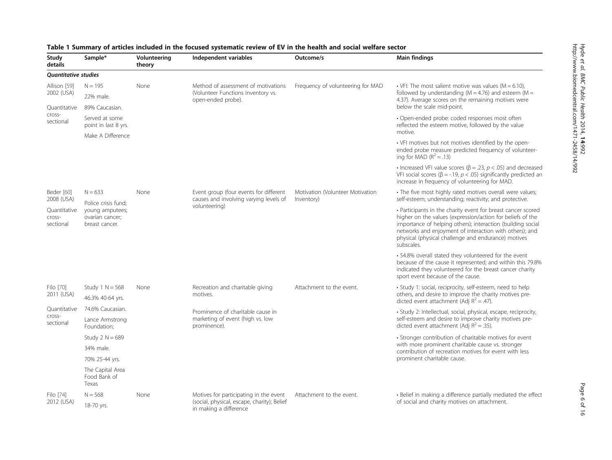| details                                                           |                                                      | theory                                                                |                                                                                                   |                                                |                                                                                                                                                                                                                                                                                                                           |
|-------------------------------------------------------------------|------------------------------------------------------|-----------------------------------------------------------------------|---------------------------------------------------------------------------------------------------|------------------------------------------------|---------------------------------------------------------------------------------------------------------------------------------------------------------------------------------------------------------------------------------------------------------------------------------------------------------------------------|
| <b>Ouantitative studies</b>                                       |                                                      |                                                                       |                                                                                                   |                                                |                                                                                                                                                                                                                                                                                                                           |
| Allison [59]<br>2002 (USA)<br>Quantitative<br>cross-<br>sectional | $N = 195$                                            | None                                                                  | Method of assessment of motivations<br>(Volunteer Functions Inventory vs.<br>open-ended probe).   | Frequency of volunteering for MAD              | • VFI: The most salient motive was values ( $M = 6.10$ ),<br>followed by understanding ( $M = 4.76$ ) and esteem ( $M =$<br>4.37). Average scores on the remaining motives were<br>below the scale mid-point.                                                                                                             |
|                                                                   | 22% male.<br>89% Caucasian.                          |                                                                       |                                                                                                   |                                                |                                                                                                                                                                                                                                                                                                                           |
|                                                                   | Served at some<br>point in last 8 yrs.               |                                                                       |                                                                                                   |                                                | · Open-ended probe: coded responses most often<br>reflected the esteem motive, followed by the value<br>motive.                                                                                                                                                                                                           |
|                                                                   | Make A Difference                                    |                                                                       |                                                                                                   |                                                | • VFI motives but not motives identified by the open-<br>ended probe measure predicted frequency of volunteer-<br>ing for MAD $(R^2 = .13)$                                                                                                                                                                               |
|                                                                   |                                                      |                                                                       |                                                                                                   |                                                | • Increased VFI value scores ( $\beta = .23$ , $p < .05$ ) and decreased<br>VFI social scores ( $\beta$ = -.19, $p$ < .05) significantly predicted an<br>increase in frequency of volunteering for MAD.                                                                                                                   |
| Beder [60]<br>2008 (USA)                                          | $N = 633$<br>Police crisis fund;                     | None                                                                  | Event group (four events for different<br>causes and involving varying levels of<br>volunteering) | Motivation (Volunteer Motivation<br>Inventory) | • The five most highly rated motives overall were values;<br>self-esteem; understanding; reactivity; and protective.                                                                                                                                                                                                      |
| Quantitative<br>Cross-<br>sectional                               | young amputees;<br>ovarian cancer;<br>breast cancer. |                                                                       |                                                                                                   |                                                | • Participants in the charity event for breast cancer scored<br>higher on the values (expression/action for beliefs of the<br>importance of helping others); interaction (building social<br>networks and enjoyment of interaction with others); and<br>physical (physical challenge and endurance) motives<br>subscales. |
|                                                                   |                                                      |                                                                       |                                                                                                   |                                                | • 54.8% overall stated they volunteered for the event<br>because of the cause it represented; and within this 79.8%<br>indicated they volunteered for the breast cancer charity<br>sport event because of the cause.                                                                                                      |
| Filo [70]<br>2011 (USA)                                           | Study $1 N = 568$<br>46.3% 40-64 yrs.                | None                                                                  | Recreation and charitable giving<br>motives.                                                      | Attachment to the event.                       | • Study 1: social, reciprocity, self-esteem, need to help<br>others, and desire to improve the charity motives pre-<br>dicted event attachment (Adj $R^2 = .47$ ).                                                                                                                                                        |
| Quantitative<br>cross-<br>sectional                               | 74.6% Caucasian.<br>Lance Armstrong<br>Foundation;   |                                                                       | Prominence of charitable cause in<br>marketing of event (high vs. low<br>prominence).             |                                                | · Study 2: Intellectual, social, physical, escape, reciprocity,<br>self-esteem and desire to improve charity motives pre-<br>dicted event attachment (Adj $R^2 = .35$ ).                                                                                                                                                  |
|                                                                   | Study $2 N = 689$                                    |                                                                       |                                                                                                   |                                                | • Stronger contribution of charitable motives for event<br>with more prominent charitable cause vs. stronger<br>contribution of recreation motives for event with less<br>prominent charitable cause.                                                                                                                     |
|                                                                   | 34% male.                                            |                                                                       |                                                                                                   |                                                |                                                                                                                                                                                                                                                                                                                           |
|                                                                   | 70% 25-44 yrs.                                       |                                                                       |                                                                                                   |                                                |                                                                                                                                                                                                                                                                                                                           |
|                                                                   | The Capital Area<br>Food Bank of<br>Texas            |                                                                       |                                                                                                   |                                                |                                                                                                                                                                                                                                                                                                                           |
| Filo [74]                                                         | $N = 568$                                            | None                                                                  | Motives for participating in the event                                                            | Attachment to the event.                       | • Belief in making a difference partially mediated the effect                                                                                                                                                                                                                                                             |
| 2012 (USA)                                                        | 18-70 yrs.                                           | (social, physical, escape, charity); Belief<br>in making a difference |                                                                                                   | of social and charity motives on attachment.   |                                                                                                                                                                                                                                                                                                                           |

Independent variables **Outcome/s** Outcome/s Main findings

## <span id="page-5-0"></span>Table 1 Summary of articles included in the focused systematic review of EV in the health and social welfare sector

**Study** 

Sample\* Volunteering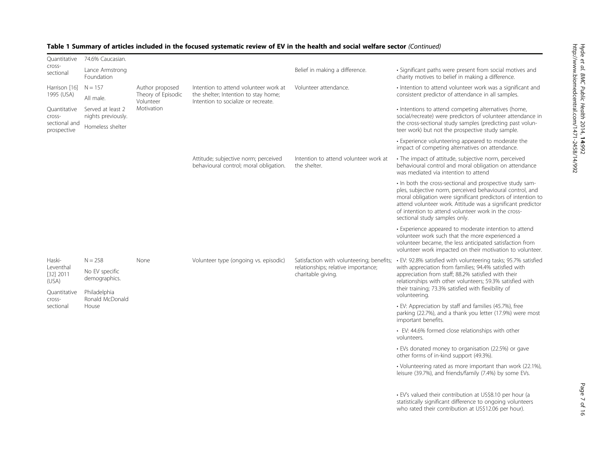| Quantitative                                                                       | 74.6% Caucasian.                                                                         |                                                                  |                                                                                                                      |                                                                                                        |                                                                                                                                                                                                                                                                                                                                              |  |  |  |
|------------------------------------------------------------------------------------|------------------------------------------------------------------------------------------|------------------------------------------------------------------|----------------------------------------------------------------------------------------------------------------------|--------------------------------------------------------------------------------------------------------|----------------------------------------------------------------------------------------------------------------------------------------------------------------------------------------------------------------------------------------------------------------------------------------------------------------------------------------------|--|--|--|
| cross-<br>sectional                                                                | Lance Armstrong<br>Foundation                                                            |                                                                  |                                                                                                                      | Belief in making a difference.                                                                         | • Significant paths were present from social motives and<br>charity motives to belief in making a difference.                                                                                                                                                                                                                                |  |  |  |
| Harrison [16]<br>1995 (USA)                                                        | $N = 157$<br>All male.                                                                   | Author proposed<br>Theory of Episodic<br>Volunteer<br>Motivation | Intention to attend volunteer work at<br>the shelter; Intention to stay home;<br>Intention to socialize or recreate. | Volunteer attendance.                                                                                  | • Intention to attend volunteer work was a significant and<br>consistent predictor of attendance in all samples.                                                                                                                                                                                                                             |  |  |  |
| Quantitative<br>cross-<br>sectional and<br>prospective                             | Served at least 2<br>nights previously.<br>Homeless shelter                              |                                                                  |                                                                                                                      |                                                                                                        | · Intentions to attend competing alternatives (home,<br>social/recreate) were predictors of volunteer attendance in<br>the cross-sectional study samples (predicting past volun-<br>teer work) but not the prospective study sample.                                                                                                         |  |  |  |
|                                                                                    |                                                                                          |                                                                  |                                                                                                                      |                                                                                                        | • Experience volunteering appeared to moderate the<br>impact of competing alternatives on attendance.                                                                                                                                                                                                                                        |  |  |  |
|                                                                                    |                                                                                          |                                                                  | Attitude; subjective norm; perceived<br>behavioural control; moral obligation.                                       | Intention to attend volunteer work at<br>the shelter.                                                  | · The impact of attitude, subjective norm, perceived<br>behavioural control and moral obligation on attendance<br>was mediated via intention to attend                                                                                                                                                                                       |  |  |  |
|                                                                                    |                                                                                          |                                                                  |                                                                                                                      |                                                                                                        | . In both the cross-sectional and prospective study sam-<br>ples, subjective norm, perceived behavioural control, and<br>moral obligation were significant predictors of intention to<br>attend volunteer work. Attitude was a significant predictor<br>of intention to attend volunteer work in the cross-<br>sectional study samples only. |  |  |  |
|                                                                                    |                                                                                          |                                                                  |                                                                                                                      |                                                                                                        | • Experience appeared to moderate intention to attend<br>volunteer work such that the more experienced a<br>volunteer became, the less anticipated satisfaction from<br>volunteer work impacted on their motivation to volunteer.                                                                                                            |  |  |  |
| Haski-<br>Leventhal<br>$[32]$ 2011<br>(USA)<br>Quantitative<br>cross-<br>sectional | $N = 258$<br>No EV specific<br>demographics.<br>Philadelphia<br>Ronald McDonald<br>House | None                                                             | Volunteer type (ongoing vs. episodic)                                                                                | Satisfaction with volunteering; benefits;<br>relationships; relative importance;<br>charitable giving. | • EV: 92.8% satisfied with volunteering tasks; 95.7% satisfied<br>with appreciation from families; 94.4% satisfied with<br>appreciation from staff; 88.2% satisfied with their<br>relationships with other volunteers; 59.3% satisfied with<br>their training; 73.3% satisfied with flexibility of<br>volunteering.                          |  |  |  |
|                                                                                    |                                                                                          |                                                                  |                                                                                                                      |                                                                                                        | • EV: Appreciation by staff and families (45.7%), free<br>parking (22.7%), and a thank you letter (17.9%) were most<br>important benefits.                                                                                                                                                                                                   |  |  |  |
|                                                                                    |                                                                                          |                                                                  |                                                                                                                      |                                                                                                        | • EV: 44.6% formed close relationships with other<br>volunteers.                                                                                                                                                                                                                                                                             |  |  |  |
|                                                                                    |                                                                                          |                                                                  |                                                                                                                      |                                                                                                        | • EVs donated money to organisation (22.5%) or gave<br>other forms of in-kind support (49.3%).                                                                                                                                                                                                                                               |  |  |  |
|                                                                                    |                                                                                          |                                                                  |                                                                                                                      |                                                                                                        | • Volunteering rated as more important than work (22.1%),<br>leisure (39.7%), and friends/family (7.4%) by some EVs.                                                                                                                                                                                                                         |  |  |  |
|                                                                                    |                                                                                          |                                                                  |                                                                                                                      |                                                                                                        | · EV's valued their contribution at US\$8.10 per hour (a<br>statistically significant difference to ongoing volunteers<br>who rated their contribution at US\$12.06 per hour).                                                                                                                                                               |  |  |  |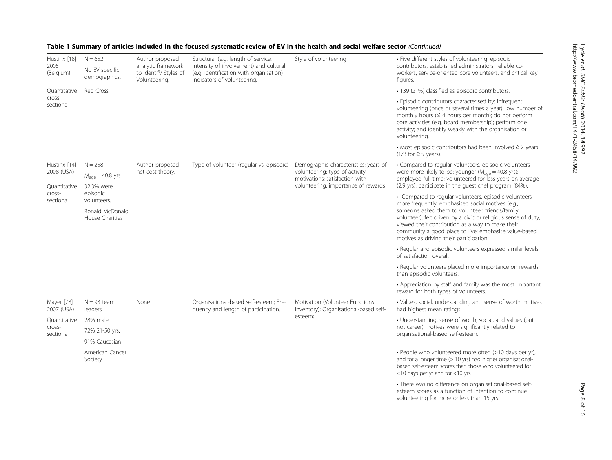| Hustinx [18]                               | $N = 652$                                               | Author proposed                                              | Structural (e.g. length of service,                                                                              | Style of volunteering                                                                                                                             | · Five different styles of volunteering: episodic                                                                                                                                                                                                                                                                  |
|--------------------------------------------|---------------------------------------------------------|--------------------------------------------------------------|------------------------------------------------------------------------------------------------------------------|---------------------------------------------------------------------------------------------------------------------------------------------------|--------------------------------------------------------------------------------------------------------------------------------------------------------------------------------------------------------------------------------------------------------------------------------------------------------------------|
| 2005<br>(Belgium)                          | No EV specific<br>demographics.                         | analytic framework<br>to identify Styles of<br>Volunteering. | intensity of involvement) and cultural<br>(e.g. identification with organisation)<br>indicators of volunteering. |                                                                                                                                                   | contributors, established administrators, reliable co-<br>workers, service-oriented core volunteers, and critical key<br>figures.                                                                                                                                                                                  |
| Quantitative                               | <b>Red Cross</b>                                        |                                                              |                                                                                                                  |                                                                                                                                                   | · 139 (21%) classified as episodic contributors.                                                                                                                                                                                                                                                                   |
| Cross-<br>sectional                        |                                                         |                                                              |                                                                                                                  |                                                                                                                                                   | · Episodic contributors characterised by: infrequent<br>volunteering (once or several times a year); low number of<br>monthly hours ( $\leq 4$ hours per month); do not perform<br>core activities (e.g. board membership); perform one<br>activity; and identify weakly with the organisation or<br>volunteering. |
|                                            |                                                         |                                                              |                                                                                                                  |                                                                                                                                                   | • Most episodic contributors had been involved ≥ 2 years<br>$(1/3$ for $\geq 5$ years).                                                                                                                                                                                                                            |
| Hustinx [14]<br>2008 (USA)<br>Quantitative | $N = 258$<br>$M_{\text{age}} = 40.8$ yrs.<br>32.3% were | Author proposed<br>net cost theory.                          | Type of volunteer (regular vs. episodic)                                                                         | Demographic characteristics; years of<br>volunteering; type of activity;<br>motivations; satisfaction with<br>volunteering; importance of rewards | • Compared to regular volunteers, episodic volunteers<br>were more likely to be: younger ( $M_{\text{age}} = 40.8$ yrs);<br>employed full-time; volunteered for less years on average<br>(2.9 yrs); participate in the quest chef program (84%).                                                                   |
| cross-<br>sectional                        | episodic<br>volunteers.                                 |                                                              |                                                                                                                  |                                                                                                                                                   | • Compared to regular volunteers, episodic volunteers<br>more frequently: emphasised social motives (e.g.,                                                                                                                                                                                                         |
|                                            | Ronald McDonald<br>House Charities                      |                                                              |                                                                                                                  |                                                                                                                                                   | someone asked them to volunteer; friends/family<br>volunteer); felt driven by a civic or religious sense of duty;<br>viewed their contribution as a way to make their<br>community a good place to live; emphasise value-based<br>motives as driving their participation.                                          |
|                                            |                                                         |                                                              |                                                                                                                  |                                                                                                                                                   | • Regular and episodic volunteers expressed similar levels<br>of satisfaction overall.                                                                                                                                                                                                                             |
|                                            |                                                         |                                                              |                                                                                                                  |                                                                                                                                                   | • Regular volunteers placed more importance on rewards<br>than episodic volunteers.                                                                                                                                                                                                                                |
|                                            |                                                         |                                                              |                                                                                                                  |                                                                                                                                                   | • Appreciation by staff and family was the most important<br>reward for both types of volunteers.                                                                                                                                                                                                                  |
| Mayer [78]<br>2007 (USA)                   | $N = 93$ team<br>leaders                                | None                                                         | Organisational-based self-esteem; Fre-<br>quency and length of participation.                                    | Motivation (Volunteer Functions<br>Inventory); Organisational-based self-                                                                         | • Values, social, understanding and sense of worth motives<br>had highest mean ratings.                                                                                                                                                                                                                            |
| Quantitative                               | 28% male.                                               |                                                              |                                                                                                                  | esteem;                                                                                                                                           | • Understanding, sense of worth, social, and values (but                                                                                                                                                                                                                                                           |
| cross-<br>sectional                        | 72% 21-50 yrs.                                          |                                                              |                                                                                                                  |                                                                                                                                                   | not career) motives were significantly related to<br>organisational-based self-esteem.                                                                                                                                                                                                                             |
|                                            | 91% Caucasian                                           |                                                              |                                                                                                                  |                                                                                                                                                   |                                                                                                                                                                                                                                                                                                                    |
|                                            | American Cancer<br>Society                              |                                                              |                                                                                                                  |                                                                                                                                                   | • People who volunteered more often (>10 days per yr),<br>and for a longer time (> 10 yrs) had higher organisational-<br>based self-esteem scores than those who volunteered for<br><10 days per yr and for <10 yrs.                                                                                               |
|                                            |                                                         |                                                              |                                                                                                                  |                                                                                                                                                   | · There was no difference on organisational-based self-<br>esteem scores as a function of intention to continue                                                                                                                                                                                                    |

volunteering for more or less than 15 yrs.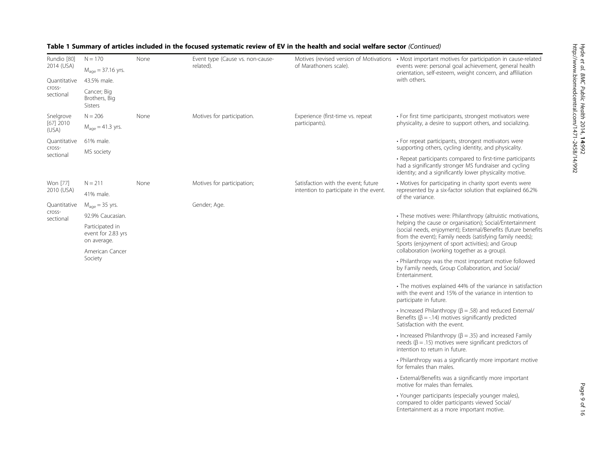| Rundio [80]<br>2014 (USA)           | $N = 170$                                            | None | Event type (Cause vs. non-cause- | Motives (revised version of Motivations                                       | • Most important motives for participation in cause-related<br>events were: personal goal achievement, general health<br>orientation, self-esteem, weight concern, and affiliation                                                                                                                        |
|-------------------------------------|------------------------------------------------------|------|----------------------------------|-------------------------------------------------------------------------------|-----------------------------------------------------------------------------------------------------------------------------------------------------------------------------------------------------------------------------------------------------------------------------------------------------------|
|                                     | $M_{\text{age}} = 37.16$ yrs.                        |      | related).                        | of Marathoners scale).                                                        |                                                                                                                                                                                                                                                                                                           |
| Quantitative<br>Cross-<br>sectional | 43.5% male.                                          |      |                                  |                                                                               | with others.                                                                                                                                                                                                                                                                                              |
|                                     | Cancer; Big<br>Brothers, Big<br>Sisters              |      |                                  |                                                                               |                                                                                                                                                                                                                                                                                                           |
| Snelgrove                           | $N = 206$                                            | None | Motives for participation.       | Experience (first-time vs. repeat<br>participants).                           | • For first time participants, strongest motivators were<br>physicality, a desire to support others, and socializing.                                                                                                                                                                                     |
| $[67]$ 2010<br>(USA)                | $M_{\text{age}} = 41.3$ yrs.                         |      |                                  |                                                                               |                                                                                                                                                                                                                                                                                                           |
| Quantitative                        | 61% male.                                            |      |                                  |                                                                               | • For repeat participants, strongest motivators were<br>supporting others, cycling identity, and physicality.                                                                                                                                                                                             |
| Cross-<br>sectional                 | MS society                                           |      |                                  |                                                                               |                                                                                                                                                                                                                                                                                                           |
|                                     |                                                      |      |                                  |                                                                               | • Repeat participants compared to first-time participants<br>had a significantly stronger MS fundraiser and cycling<br>identity; and a significantly lower physicality motive.                                                                                                                            |
| Won [77]                            | $N = 211$                                            | None | Motives for participation;       | Satisfaction with the event: future<br>intention to participate in the event. | • Motives for participating in charity sport events were<br>represented by a six-factor solution that explained 66.2%<br>of the variance.                                                                                                                                                                 |
| 2010 (USA)                          | 41% male.                                            |      |                                  |                                                                               |                                                                                                                                                                                                                                                                                                           |
| Quantitative                        | $M_{\text{aqe}} = 35$ yrs.                           |      | Gender; Age.                     |                                                                               |                                                                                                                                                                                                                                                                                                           |
| cross-<br>sectional                 | 92.9% Caucasian.                                     |      |                                  |                                                                               | • These motives were: Philanthropy (altruistic motivations,<br>helping the cause or organisation); Social/Entertainment<br>(social needs, enjoyment); External/Benefits (future benefits<br>from the event); Family needs (satisfying family needs);<br>Sports (enjoyment of sport activities); and Group |
|                                     | Participated in<br>event for 2.83 yrs<br>on average. |      |                                  |                                                                               |                                                                                                                                                                                                                                                                                                           |
|                                     | American Cancer<br>Society                           |      |                                  |                                                                               | collaboration (working together as a group).                                                                                                                                                                                                                                                              |
|                                     |                                                      |      |                                  |                                                                               | • Philanthropy was the most important motive followed<br>by Family needs, Group Collaboration, and Social/<br>Entertainment.                                                                                                                                                                              |
|                                     |                                                      |      |                                  |                                                                               | • The motives explained 44% of the variance in satisfaction<br>with the event and 15% of the variance in intention to<br>participate in future.                                                                                                                                                           |
|                                     |                                                      |      |                                  |                                                                               | • Increased Philanthropy ( $\beta$ = .58) and reduced External/<br>Benefits ( $\beta$ = -.14) motives significantly predicted<br>Satisfaction with the event.                                                                                                                                             |
|                                     |                                                      |      |                                  |                                                                               | • Increased Philanthropy ( $\beta$ = .35) and increased Family<br>needs ( $\beta$ = .15) motives were significant predictors of<br>intention to return in future.                                                                                                                                         |
|                                     |                                                      |      |                                  |                                                                               | • Philanthropy was a significantly more important motive<br>for females than males.                                                                                                                                                                                                                       |
|                                     |                                                      |      |                                  |                                                                               | • External/Benefits was a significantly more important<br>motive for males than females.                                                                                                                                                                                                                  |
|                                     |                                                      |      |                                  |                                                                               | • Younger participants (especially younger males),<br>compared to older participants viewed Social/                                                                                                                                                                                                       |

Entertainment as a more important motive.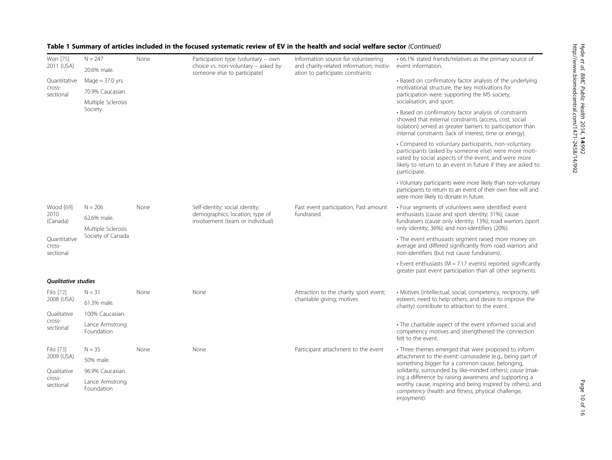| Won [75]<br>2011 (USA)              | $N = 247$<br>20.6% male.          | None | Participation type (voluntary - own<br>choice vs. non-voluntary - asked by<br>someone else to participate) | Information source for volunteering<br>and charity-related information; motiv-<br>ation to participate; constraints | • 66.1% stated friends/relatives as the primary source of<br>event information.                                                                                                                                                                   |
|-------------------------------------|-----------------------------------|------|------------------------------------------------------------------------------------------------------------|---------------------------------------------------------------------------------------------------------------------|---------------------------------------------------------------------------------------------------------------------------------------------------------------------------------------------------------------------------------------------------|
| Quantitative                        | Mage $=$ 37.0 yrs.                |      |                                                                                                            |                                                                                                                     | • Based on confirmatory factor analysis of the underlying                                                                                                                                                                                         |
| cross-<br>sectional                 | 70.9% Caucasian.                  |      |                                                                                                            |                                                                                                                     | motivational structure, the key motivations for<br>participation were: supporting the MS society,                                                                                                                                                 |
|                                     | Multiple Sclerosis                |      |                                                                                                            |                                                                                                                     | socialisation, and sport.                                                                                                                                                                                                                         |
|                                     | Society                           |      |                                                                                                            |                                                                                                                     | • Based on confirmatory factor analysis of constraints<br>showed that external constraints (access, cost, social<br>isolation) served as greater barriers to participation than<br>internal constraints (lack of interest, time or energy).       |
|                                     |                                   |      |                                                                                                            |                                                                                                                     | • Compared to voluntary participants, non-voluntary<br>participants (asked by someone else) were more moti-<br>vated by social aspects of the event, and were more<br>likely to return to an event in future if they are asked to<br>participate. |
|                                     |                                   |      |                                                                                                            |                                                                                                                     | • Voluntary participants were more likely than non-voluntary<br>participants to return to an event of their own free will and<br>were more likely to donate in future.                                                                            |
| Wood [69]                           | $N = 206$                         | None | Self-identity; social identity;<br>demographics; location; type of<br>involvement (team or individual)     | Past event participation; Past amount<br>fundraised.                                                                | · Four segments of volunteers were identified: event<br>enthusiasts (cause and sport identity; 31%); cause<br>fundraisers (cause only identity; 13%); road warriors (sport<br>only identity; 36%); and non-identifiers (20%).                     |
| 2010<br>(Canada)                    | 62.6% male.<br>Multiple Sclerosis |      |                                                                                                            |                                                                                                                     |                                                                                                                                                                                                                                                   |
| Quantitative<br>cross-<br>sectional | Society of Canada                 |      |                                                                                                            |                                                                                                                     | · The event enthusiasts segment raised more money on<br>average and differed significantly from road warriors and<br>non-identifiers (but not cause fundraisers).                                                                                 |
|                                     |                                   |      |                                                                                                            |                                                                                                                     | • Event enthusiasts ( $M = 7.17$ events) reported significantly<br>greater past event participation than all other segments.                                                                                                                      |
| <b>Qualitative studies</b>          |                                   |      |                                                                                                            |                                                                                                                     |                                                                                                                                                                                                                                                   |
| Filo [72]                           | $N = 31$                          | None | None                                                                                                       | Attraction to the charity sport event;                                                                              | · Motives (intellectual, social, competency, reciprocity, self-                                                                                                                                                                                   |
| 2008 (USA)                          | 61.3% male.                       |      |                                                                                                            | charitable giving; motives                                                                                          | esteem, need to help others, and desire to improve the<br>charity) contribute to attraction to the event.                                                                                                                                         |
| Qualitative                         | 100% Caucasian.                   |      |                                                                                                            |                                                                                                                     |                                                                                                                                                                                                                                                   |
| cross-<br>sectional                 | Lance Armstrong<br>Foundation     |      |                                                                                                            |                                                                                                                     | · The charitable aspect of the event informed social and<br>competency motives and strengthened the connection<br>felt to the event.                                                                                                              |
| Filo [73]                           | $N = 35$                          | None | None                                                                                                       | Participant attachment to the event                                                                                 | · Three themes emerged that were proposed to inform<br>attachment to the event: camaraderie (e.g., being part of<br>something bigger for a common cause, belonging,                                                                               |
| 2009 (USA)                          | 50% male.                         |      |                                                                                                            |                                                                                                                     |                                                                                                                                                                                                                                                   |
| Qualitative<br>cross-<br>sectional  | 96.9% Caucasian.                  |      |                                                                                                            |                                                                                                                     | solidarity, surrounded by like-minded others); cause (mak-                                                                                                                                                                                        |
|                                     | Lance Armstrong<br>Foundation     |      |                                                                                                            |                                                                                                                     | ing a difference by raising awareness and supporting a<br>worthy cause, inspiring and being inspired by others); and<br>competency (health and fitness, physical challenge,<br>enjoyment).                                                        |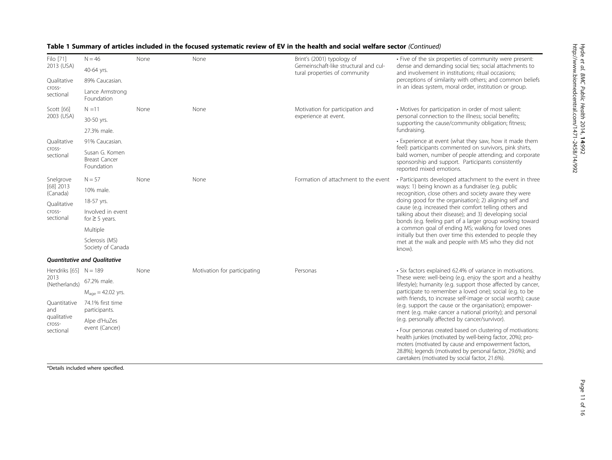| Filo [71]<br>2013 (USA)<br>Qualitative                    | $N = 46$<br>40-64 yrs.<br>89% Caucasian.             | None | None                         | Brint's (2001) typology of<br>Gemeinschaft-like structural and cul-<br>tural properties of community | . Five of the six properties of community were present:<br>dense and demanding social ties; social attachments to<br>and involvement in institutions; ritual occasions;<br>perceptions of similarity with others; and common beliefs                                                              |
|-----------------------------------------------------------|------------------------------------------------------|------|------------------------------|------------------------------------------------------------------------------------------------------|---------------------------------------------------------------------------------------------------------------------------------------------------------------------------------------------------------------------------------------------------------------------------------------------------|
| Cross-<br>sectional                                       | Lance Armstrong<br>Foundation                        |      |                              |                                                                                                      | in an ideas system, moral order, institution or group.                                                                                                                                                                                                                                            |
| Scott [66]                                                | $N = 11$                                             | None | None                         | Motivation for participation and                                                                     | • Motives for participation in order of most salient:                                                                                                                                                                                                                                             |
| 2003 (USA)                                                | 30-50 yrs.                                           |      |                              | experience at event.                                                                                 | personal connection to the illness; social benefits;<br>supporting the cause/community obligation; fitness;                                                                                                                                                                                       |
|                                                           | 27.3% male.                                          |      |                              |                                                                                                      | fundraising.                                                                                                                                                                                                                                                                                      |
| Qualitative                                               | 91% Caucasian.                                       |      |                              |                                                                                                      | • Experience at event (what they saw, how it made them                                                                                                                                                                                                                                            |
| Cross-<br>sectional                                       | Susan G. Komen<br><b>Breast Cancer</b><br>Foundation |      |                              |                                                                                                      | feel): participants commented on survivors, pink shirts,<br>bald women, number of people attending; and corporate<br>sponsorship and support. Participants consistently<br>reported mixed emotions.                                                                                               |
| Snelgrove                                                 | $N = 57$                                             | None | None                         | Formation of attachment to the event                                                                 | • Participants developed attachment to the event in three                                                                                                                                                                                                                                         |
| $[68]$ 2013<br>(Canada)                                   | 10% male.                                            |      |                              |                                                                                                      | ways: 1) being known as a fundraiser (e.g. public<br>recognition, close others and society aware they were                                                                                                                                                                                        |
| Qualitative                                               | 18-57 yrs.                                           |      |                              |                                                                                                      | doing good for the organisation); 2) aligning self and                                                                                                                                                                                                                                            |
| Cross-<br>sectional                                       | Involved in event<br>for $\geq$ 5 years.             |      |                              |                                                                                                      | cause (e.g. increased their comfort telling others and<br>talking about their disease); and 3) developing social<br>bonds (e.g. feeling part of a larger group working toward                                                                                                                     |
|                                                           | Multiple                                             |      |                              |                                                                                                      | a common goal of ending MS; walking for loved ones                                                                                                                                                                                                                                                |
|                                                           | Sclerosis (MS)<br>Society of Canada                  |      |                              |                                                                                                      | initially but then over time this extended to people they<br>met at the walk and people with MS who they did not<br>know).                                                                                                                                                                        |
|                                                           | <b>Quantitative and Qualitative</b>                  |      |                              |                                                                                                      |                                                                                                                                                                                                                                                                                                   |
| Hendriks $[65]$ N = 189                                   |                                                      | None | Motivation for participating | Personas                                                                                             | • Six factors explained 62.4% of variance in motivations.                                                                                                                                                                                                                                         |
| 2013<br>(Netherlands)                                     | 67.2% male.                                          |      |                              |                                                                                                      | These were: well-being (e.g. enjoy the sport and a healthy<br>lifestyle); humanity (e.g. support those affected by cancer,                                                                                                                                                                        |
|                                                           | $M_{\text{aqe}} = 42.02$ yrs.                        |      |                              |                                                                                                      | participate to remember a loved one); social (e.g. to be                                                                                                                                                                                                                                          |
| Quantitative<br>and<br>qualitative<br>cross-<br>sectional | 74.1% first time<br>participants.                    |      |                              |                                                                                                      | with friends, to increase self-image or social worth); cause<br>(e.g. support the cause or the organisation); empower-<br>ment (e.g. make cancer a national priority); and personal                                                                                                               |
|                                                           | Alpe d'HuZes<br>event (Cancer)                       |      |                              |                                                                                                      | (e.g. personally affected by cancer/survivor).                                                                                                                                                                                                                                                    |
|                                                           |                                                      |      |                              |                                                                                                      | · Four personas created based on clustering of motivations:<br>health junkies (motivated by well-being factor, 20%); pro-<br>moters (motivated by cause and empowerment factors,<br>28.8%); legends (motivated by personal factor, 29.6%); and<br>caretakers (motivated by social factor, 21.6%). |

\*Details included where specified.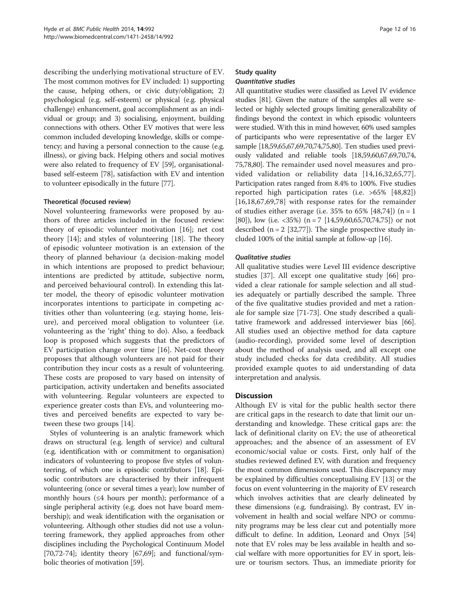describing the underlying motivational structure of EV. The most common motives for EV included: 1) supporting the cause, helping others, or civic duty/obligation; 2) psychological (e.g. self-esteem) or physical (e.g. physical challenge) enhancement, goal accomplishment as an individual or group; and 3) socialising, enjoyment, building connections with others. Other EV motives that were less common included developing knowledge, skills or competency; and having a personal connection to the cause (e.g. illness), or giving back. Helping others and social motives were also related to frequency of EV [[59](#page-14-0)], organisationalbased self-esteem [[78](#page-14-0)], satisfaction with EV and intention to volunteer episodically in the future [[77](#page-14-0)].

#### Theoretical (focused review)

Novel volunteering frameworks were proposed by authors of three articles included in the focused review: theory of episodic volunteer motivation [[16\]](#page-13-0); net cost theory [[14\]](#page-13-0); and styles of volunteering [\[18\]](#page-13-0). The theory of episodic volunteer motivation is an extension of the theory of planned behaviour (a decision-making model in which intentions are proposed to predict behaviour; intentions are predicted by attitude, subjective norm, and perceived behavioural control). In extending this latter model, the theory of episodic volunteer motivation incorporates intentions to participate in competing activities other than volunteering (e.g. staying home, leisure), and perceived moral obligation to volunteer (i.e. volunteering as the 'right' thing to do). Also, a feedback loop is proposed which suggests that the predictors of EV participation change over time [\[16\]](#page-13-0). Net-cost theory proposes that although volunteers are not paid for their contribution they incur costs as a result of volunteering. These costs are proposed to vary based on intensity of participation, activity undertaken and benefits associated with volunteering. Regular volunteers are expected to experience greater costs than EVs, and volunteering motives and perceived benefits are expected to vary between these two groups [[14\]](#page-13-0).

Styles of volunteering is an analytic framework which draws on structural (e.g. length of service) and cultural (e.g. identification with or commitment to organisation) indicators of volunteering to propose five styles of volunteering, of which one is episodic contributors [[18](#page-13-0)]. Episodic contributors are characterised by their infrequent volunteering (once or several times a year); low number of monthly hours (≤4 hours per month); performance of a single peripheral activity (e.g. does not have board membership); and weak identification with the organisation or volunteering. Although other studies did not use a volunteering framework, they applied approaches from other disciplines including the Psychological Continuum Model [[70,72](#page-14-0)-[74](#page-14-0)]; identity theory [[67,69](#page-14-0)]; and functional/symbolic theories of motivation [\[59\]](#page-14-0).

## Study quality

#### Quantitative studies

All quantitative studies were classified as Level IV evidence studies [[81\]](#page-14-0). Given the nature of the samples all were selected or highly selected groups limiting generalizability of findings beyond the context in which episodic volunteers were studied. With this in mind however, 60% used samples of participants who were representative of the larger EV sample [\[18](#page-13-0)[,59,65,67,69,70,74,75,80\]](#page-14-0). Ten studies used previously validated and reliable tools [[18](#page-13-0)[,59,60,67,69,70,74](#page-14-0), [75,78,80\]](#page-14-0). The remainder used novel measures and provided validation or reliability data [[14,16](#page-13-0),[32,65,77](#page-14-0)]. Participation rates ranged from 8.4% to 100%. Five studies reported high participation rates (i.e. >65% [[48,82](#page-14-0)]) [[16,18](#page-13-0),[67,69,78](#page-14-0)] with response rates for the remainder of studies either average (i.e.  $35\%$  to  $65\%$  [\[48,74](#page-14-0)]) (n = 1 [[80](#page-14-0)]), low (i.e.  $\langle 35\% \rangle$  (n = 7 [\[14,](#page-13-0)[59,60,65,70,74,75\]](#page-14-0)) or not described  $(n = 2 [32,77])$  $(n = 2 [32,77])$  $(n = 2 [32,77])$ . The single prospective study included 100% of the initial sample at follow-up [\[16\]](#page-13-0).

#### Qualitative studies

All qualitative studies were Level III evidence descriptive studies [[37](#page-14-0)]. All except one qualitative study [\[66](#page-14-0)] provided a clear rationale for sample selection and all studies adequately or partially described the sample. Three of the five qualitative studies provided and met a rationale for sample size [[71](#page-14-0)-[73\]](#page-14-0). One study described a qualitative framework and addressed interviewer bias [\[66](#page-14-0)]. All studies used an objective method for data capture (audio-recording), provided some level of description about the method of analysis used, and all except one study included checks for data credibility. All studies provided example quotes to aid understanding of data interpretation and analysis.

#### **Discussion**

Although EV is vital for the public health sector there are critical gaps in the research to date that limit our understanding and knowledge. These critical gaps are: the lack of definitional clarity on EV; the use of atheoretical approaches; and the absence of an assessment of EV economic/social value or costs. First, only half of the studies reviewed defined EV, with duration and frequency the most common dimensions used. This discrepancy may be explained by difficulties conceptualising EV [\[13\]](#page-13-0) or the focus on event volunteering in the majority of EV research which involves activities that are clearly delineated by these dimensions (e.g. fundraising). By contrast, EV involvement in health and social welfare NPO or community programs may be less clear cut and potentially more difficult to define. In addition, Leonard and Onyx [[54](#page-14-0)] note that EV roles may be less available in health and social welfare with more opportunities for EV in sport, leisure or tourism sectors. Thus, an immediate priority for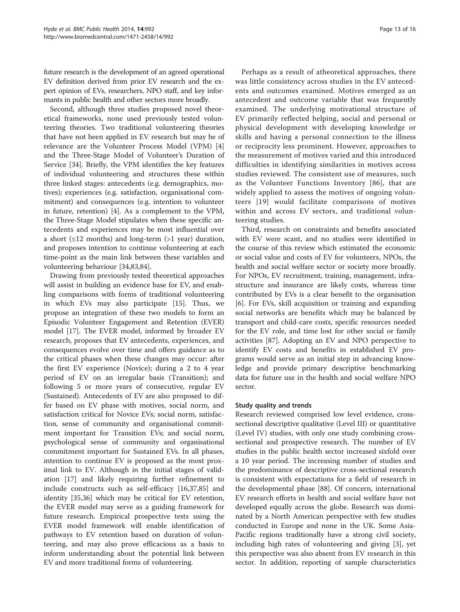future research is the development of an agreed operational EV definition derived from prior EV research and the expert opinion of EVs, researchers, NPO staff, and key informants in public health and other sectors more broadly.

Second, although three studies proposed novel theoretical frameworks, none used previously tested volunteering theories. Two traditional volunteering theories that have not been applied in EV research but may be of relevance are the Volunteer Process Model (VPM) [\[4](#page-13-0)] and the Three-Stage Model of Volunteer's Duration of Service [[34\]](#page-14-0). Briefly, the VPM identifies the key features of individual volunteering and structures these within three linked stages: antecedents (e.g. demographics, motives); experiences (e.g. satisfaction, organisational commitment) and consequences (e.g. intention to volunteer in future, retention) [[4\]](#page-13-0). As a complement to the VPM, the Three-Stage Model stipulates when these specific antecedents and experiences may be most influential over a short  $(\leq 12$  months) and long-term  $(>1$  year) duration, and proposes intention to continue volunteering at each time-point as the main link between these variables and volunteering behaviour [\[34](#page-14-0)[,83,84\]](#page-15-0).

Drawing from previously tested theoretical approaches will assist in building an evidence base for EV, and enabling comparisons with forms of traditional volunteering in which EVs may also participate [[15](#page-13-0)]. Thus, we propose an integration of these two models to form an Episodic Volunteer Engagement and Retention (EVER) model [\[17](#page-13-0)]. The EVER model, informed by broader EV research, proposes that EV antecedents, experiences, and consequences evolve over time and offers guidance as to the critical phases when these changes may occur: after the first EV experience (Novice); during a 2 to 4 year period of EV on an irregular basis (Transition); and following 5 or more years of consecutive, regular EV (Sustained). Antecedents of EV are also proposed to differ based on EV phase with motives, social norm, and satisfaction critical for Novice EVs; social norm, satisfaction, sense of community and organisational commitment important for Transition EVs; and social norm, psychological sense of community and organisational commitment important for Sustained EVs. In all phases, intention to continue EV is proposed as the most proximal link to EV. Although in the initial stages of validation [[17](#page-13-0)] and likely requiring further refinement to include constructs such as self-efficacy [\[16](#page-13-0)[,37](#page-14-0)[,85](#page-15-0)] and identity [[35,36\]](#page-14-0) which may be critical for EV retention, the EVER model may serve as a guiding framework for future research. Empirical prospective tests using the EVER model framework will enable identification of pathways to EV retention based on duration of volunteering, and may also prove efficacious as a basis to inform understanding about the potential link between EV and more traditional forms of volunteering.

Perhaps as a result of atheoretical approaches, there was little consistency across studies in the EV antecedents and outcomes examined. Motives emerged as an antecedent and outcome variable that was frequently examined. The underlying motivational structure of EV primarily reflected helping, social and personal or physical development with developing knowledge or skills and having a personal connection to the illness or reciprocity less prominent. However, approaches to the measurement of motives varied and this introduced difficulties in identifying similarities in motives across studies reviewed. The consistent use of measures, such as the Volunteer Functions Inventory [\[86](#page-15-0)], that are widely applied to assess the motives of ongoing volunteers [[19](#page-13-0)] would facilitate comparisons of motives within and across EV sectors, and traditional volunteering studies.

Third, research on constraints and benefits associated with EV were scant, and no studies were identified in the course of this review which estimated the economic or social value and costs of EV for volunteers, NPOs, the health and social welfare sector or society more broadly. For NPOs, EV recruitment, training, management, infrastructure and insurance are likely costs, whereas time contributed by EVs is a clear benefit to the organisation [[6\]](#page-13-0). For EVs, skill acquisition or training and expanding social networks are benefits which may be balanced by transport and child-care costs, specific resources needed for the EV role, and time lost for other social or family activities [\[87\]](#page-15-0). Adopting an EV and NPO perspective to identify EV costs and benefits in established EV programs would serve as an initial step in advancing knowledge and provide primary descriptive benchmarking data for future use in the health and social welfare NPO sector.

#### Study quality and trends

Research reviewed comprised low level evidence, crosssectional descriptive qualitative (Level III) or quantitative (Level IV) studies, with only one study combining crosssectional and prospective research. The number of EV studies in the public health sector increased sixfold over a 10 year period. The increasing number of studies and the predominance of descriptive cross-sectional research is consistent with expectations for a field of research in the developmental phase [[88](#page-15-0)]. Of concern, international EV research efforts in health and social welfare have not developed equally across the globe. Research was dominated by a North American perspective with few studies conducted in Europe and none in the UK. Some Asia-Pacific regions traditionally have a strong civil society, including high rates of volunteering and giving [\[3\]](#page-13-0), yet this perspective was also absent from EV research in this sector. In addition, reporting of sample characteristics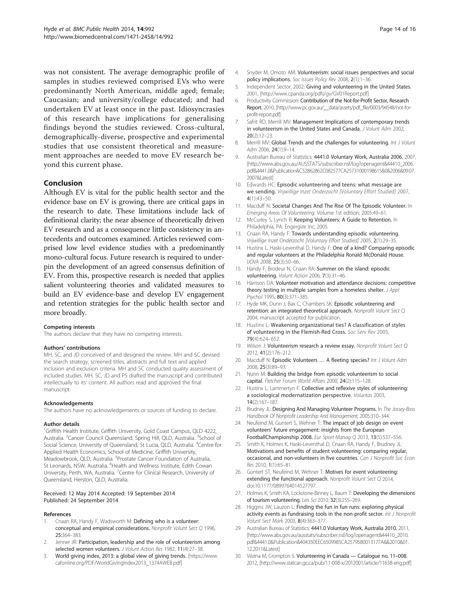<span id="page-13-0"></span>was not consistent. The average demographic profile of samples in studies reviewed comprised EVs who were predominantly North American, middle aged; female; Caucasian; and university/college educated; and had undertaken EV at least once in the past. Idiosyncrasies of this research have implications for generalising findings beyond the studies reviewed. Cross-cultural, demographically-diverse, prospective and experimental studies that use consistent theoretical and measurement approaches are needed to move EV research beyond this current phase.

#### Conclusion

Although EV is vital for the public health sector and the evidence base on EV is growing, there are critical gaps in the research to date. These limitations include lack of definitional clarity; the near absence of theoretically driven EV research and as a consequence little consistency in antecedents and outcomes examined. Articles reviewed comprised low level evidence studies with a predominantly mono-cultural focus. Future research is required to underpin the development of an agreed consensus definition of EV. From this, prospective research is needed that applies salient volunteering theories and validated measures to build an EV evidence-base and develop EV engagement and retention strategies for the public health sector and more broadly.

#### Competing interests

The authors declare that they have no competing interests.

#### Authors' contributions

MH, SC, and JD conceived of and designed the review. MH and SC devised the search strategy, screened titles, abstracts and full text and applied inclusion and exclusion criteria. MH and SC conducted quality assessment of included studies. MH, SC, JD and PS drafted the manuscript and contributed intellectually to its' content. All authors read and approved the final manuscript.

#### Acknowledgements

The authors have no acknowledgements or sources of funding to declare.

#### Author details

<sup>1</sup>Griffith Health Institute, Griffith University, Gold Coast Campus, QLD 4222, Australia. <sup>2</sup>Cancer Council Queensland, Spring Hill, QLD, Australia. <sup>3</sup>School of Social Science, University of Queensland, St Lucia, QLD, Australia. <sup>4</sup>Centre for Applied Health Economics, School of Medicine, Griffith University, Meadowbrook, QLD, Australia. <sup>5</sup>Prostate Cancer Foundation of Australia, St Leonards, NSW, Australia. <sup>6</sup>Health and Wellness Institute, Edith Cowan University, Perth, WA, Australia. <sup>7</sup> Centre for Clinical Research, University of Queensland, Herston, QLD, Australia.

#### Received: 12 May 2014 Accepted: 19 September 2014 Published: 24 September 2014

#### References

- Cnaan RA, Handy F, Wadsworth M: Defining who is a volunteer: conceptual and empirical considerations. Nonprofit Volunt Sect Q 1996, 25:364–383.
- Jenner JR: Participation, leadership and the role of volunteerism among selected women volunteers. J Volunt Action Res 1982, 11(4):27–38.
- 3. World giving index, 2013: a global view of giving trends. [\[https://www.](https://www.cafonline.org/PDF/WorldGivingIndex2013_1374AWEB.pdf) [cafonline.org/PDF/WorldGivingIndex2013\\_1374AWEB.pdf\]](https://www.cafonline.org/PDF/WorldGivingIndex2013_1374AWEB.pdf)
- 4. Snyder M, Omoto AM: Volunteerism: social issues perspectives and social policy implications. Soc Issues Policy Rev 2008, 2(1):1-36.
- 5. Independent Sector, 2002: Giving and volunteering in the United States. 2001, [[http://www.cpanda.org/pdfs/gv/GV01Report.pdf\]](http://www.cpanda.org/pdfs/gv/GV01Report.pdf)
- 6. Productivity Commission: Contribution of the Not-for-Profit Sector, Research Report. 2010, [\[http://www.pc.gov.au/\\_\\_data/assets/pdf\\_file/0003/94548/not-for](http://www.pc.gov.au/__data/assets/pdf_file/0003/94548/not-for-profit-report.pdf)[profit-report.pdf\]](http://www.pc.gov.au/__data/assets/pdf_file/0003/94548/not-for-profit-report.pdf)
- 7. Safrit RD, Merrill MV: Management Implications of contemporary trends in volunteerism in the United States and Canada. J Volunt Adm 2002,  $20(2) \cdot 12 - 23$
- Merrill MV: Global Trends and the challenges for volunteering. Int J Volunt Adm 2006, 24(1):9-14.
- 9. Australian Bureau of Statistics: 4441.0 Voluntary Work, Australia 2006. 2007, [[http://www.abs.gov.au/AUSSTATS/subscriber.nsf/log?openagent&44410\\_2006.](http://www.abs.gov.au/AUSSTATS/subscriber.nsf/log?openagent&44410_2006.pdf&4441.0&Publication&C52862862C082577CA25731000198615&0&2006&09.07.2007&Latest) [pdf&4441.0&Publication&C52862862C082577CA25731000198615&0&2006&09.07.](http://www.abs.gov.au/AUSSTATS/subscriber.nsf/log?openagent&44410_2006.pdf&4441.0&Publication&C52862862C082577CA25731000198615&0&2006&09.07.2007&Latest) [2007&Latest](http://www.abs.gov.au/AUSSTATS/subscriber.nsf/log?openagent&44410_2006.pdf&4441.0&Publication&C52862862C082577CA25731000198615&0&2006&09.07.2007&Latest)]
- 10. Edwards HC: Episodic volunteering and teens: what message are we sending. Vrijwillige Inzet Onderzocht [Voluntary Effort Studied] 2007,  $4(1):43-50$
- 11. Macduff N: Societal Changes And The Rise Of The Episodic Volunteer. In Emerging Areas Of Volunteering. Volume 1st edition; 2005:49–61.
- 12. McCurley S, Lynch R: Keeping Volunteers: A Guide to Retention. In Philadelphia, PA: Engergize Inc; 2005.
- 13. Cnaan RA, Handy F: Towards understanding episodic volunteering. Vrijwillige Inzet Onderzocht [Voluntary Effort Studied] 2005, 2(1):29–35.
- 14. Hustinx L, Haski-Leventhal D, Handy F: One of a kind? Comparing episodic and regular volunteers at the Philadelphia Ronald McDonald House. IJOVA 2008, 25(3):50–66.
- 15. Handy F, Brodeur N, Cnaan RA: Summer on the island: episodic volunteering. Volunt Action 2006, 7(3):31–46.
- 16. Harrison DA: Volunteer motivation and attendance decisions: competitive theory testing in multiple samples from a homeless shelter. J Appl Psychol 1995, 80(3):371–385.
- 17. Hyde MK, Dunn J, Bax C, Chambers SK: Episodic volunteering and retention: an integrated theoretical approach. Nonprofit Volunt Sect Q 2004, manuscript accepted for publication.
- 18. Hustinx L: Weakening organizational ties? A classification of styles of volunteering in the Flemish Red Cross. Soc Serv Rev 2005, 79(4):624–652.
- 19. Wilson J: Volunteerism research a review essay. Nonprofit Volunt Sect Q 2012, 41(2):176–212.
- 20. Macduff N: Episodic Volunteers ... A fleeting species? Int J Volunt Adm 2008, 25(3):89–93.
- 21. Nunn M: Building the bridge from episodic volunteerism to social capital. Fletcher Forum World Affairs 2000, 24(2):115–128.
- 22. Hustinx L, Lammertyn F: Collective and reflexive styles of volunteering: a sociological modernatization perspective. Voluntas 2003, 14(2):167–187.
- 23. Brudney JL: Designing And Managing Volunteer Programs. In The Jossey-Bass Handbook Of Nonprofit Leadership And Management; 2005:310–344.
- 24. Neufeind M, Guntert S, Wehner T: The impact of job design on event volunteers' future engagement: insights from the European FootballChampionship 2008. Eur Sport Manag Q 2013, 13(5):537–556.
- 25. Smith K, Holmes K, Haski-Leventhal D, Cnaan RA, Handy F, Brudney JL: Motivations and benefits of student volunteering: comparing regular, occasional, and non-volunteers in five countries. Can J Nonprofit Soc Econ Res 2010, 1(1):65–81.
- 26. Güntert ST, Neufeind M, Wehner T: Motives for event volunteering: extending the functional approach. Nonprofit Volunt Sect Q 2014, doi:10.1177/0899764014527797.
- 27. Holmes K, Smith KA, Lockstone-Binney L, Baum T: Developing the dimensions of tourism volunteering. Leis Sci 2010, 32(3):255–269.
- 28. Higgins JW, Lauzon L: Finding the fun in fun runs: exploring physical activity events as fundraising tools in the non-profit sector. Int J Nonprofit Volunt Sect Mark 2003, 8(4):363–377.
- 29. Australian Bureau of Statistics: 4441.0 Voluntary Work, Australia 2010. 2011, [[http://www.abs.gov.au/ausstats/subscriber.nsf/log?openagent&44410\\_2010.](http://www.abs.gov.au/ausstats/subscriber.nsf/log?openagent&44410_2010.pdf&4441.0&Publication&404350EEC6509985CA2579580013177A&&2010&01.12.2011&Latest) [pdf&4441.0&Publication&404350EEC6509985CA2579580013177A&&2010&01.](http://www.abs.gov.au/ausstats/subscriber.nsf/log?openagent&44410_2010.pdf&4441.0&Publication&404350EEC6509985CA2579580013177A&&2010&01.12.2011&Latest) [12.2011&Latest\]](http://www.abs.gov.au/ausstats/subscriber.nsf/log?openagent&44410_2010.pdf&4441.0&Publication&404350EEC6509985CA2579580013177A&&2010&01.12.2011&Latest)
- 30. Vézina M, Crompton S: Volunteering in Canada Catalogue no. 11–008. 2012, [<http://www.statcan.gc.ca/pub/11-008-x/2012001/article/11638-eng.pdf>]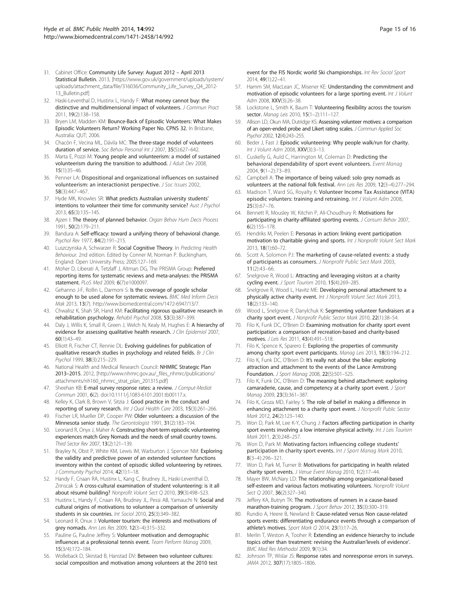- <span id="page-14-0"></span>31. Cabinet Office: Community Life Survey: August 2012 – April 2013 Statistical Bulletin. 2013, [[https://www.gov.uk/government/uploads/system/](https://www.gov.uk/government/uploads/system/uploads/attachment_data/file/316036/Community_Life_Survey_Q4_2012-13_Bulletin.pdf) [uploads/attachment\\_data/file/316036/Community\\_Life\\_Survey\\_Q4\\_2012-](https://www.gov.uk/government/uploads/system/uploads/attachment_data/file/316036/Community_Life_Survey_Q4_2012-13_Bulletin.pdf) [13\\_Bulletin.pdf\]](https://www.gov.uk/government/uploads/system/uploads/attachment_data/file/316036/Community_Life_Survey_Q4_2012-13_Bulletin.pdf)
- 32. Haski-Leventhal D, Hustinx L, Handy F: What money cannot buy: the distinctive and multidimensional impact of volunteers. J Commun Pract 2011, 19(2):138–158.
- 33. Bryen LM, Madden KM: Bounce-Back of Episodic Volunteers: What Makes Episodic Volunteers Return? Working Paper No. CPNS 32. In Brisbane, Australia: QUT; 2006.
- 34. Chacón F, Vecina ML, Dávila MC: The three-stage model of volunteers duration of service. Soc Behav Personal Int J 2007, 35(5):627–642.
- 35. Marta E, Pozzi M: Young people and volunteerism: a model of sustained volunteerism during the transition to adulthood. J Adult Dev 2008, 15(1):35–46.
- 36. Penner LA: Dispositional and organizational influences on sustained volunteerism: an interactionist perspective. J Soc Issues 2002, 58(3):447–467.
- 37. Hyde MK, Knowles SR: What predicts Australian university students' intentions to volunteer their time for community service? Aust J Psychol 2013, 65(3):135–145.
- 38. Ajzen I: The theory of planned behavior. Organ Behav Hum Decis Process 1991, 50(2):179–211.
- 39. Bandura A: Self-efficacy: toward a unifying theory of behavioral change. Psychol Rev 1977, 84(2):191–215.
- 40. Luszczynska A, Schwarzer R: Social Cognitive Theory. In Predicting Health Behaviour. 2nd edition. Edited by Conner M, Norman P. Buckingham, England: Open University Press; 2005:127–169.
- 41. Moher D, Liberati A, Tetzlaff J, Altman DG, The PRISMA Group: Preferred reporting items for systematic reviews and meta-analyses: the PRISMA statement. PLoS Med 2009, 6(7):e1000097.
- 42. Gehanno J-F, Rollin L, Darmoni S: Is the coverage of google scholar enough to be used alone for systematic reviews. BMC Med Inform Decis Mak 2013, 13(7).<http://www.biomedcentral.com/1472-6947/13/7>.
- 43. Chwalisz K, Shah SR, Hand KM: Facilitating rigorous qualitative research in rehabilitation psychology. Rehabil Psychol 2008, 53(3):387–399.
- 44. Daly J, Willis K, Small R, Green J, Welch N, Kealy M, Hughes E: A hierarchy of evidence for assessing qualitative health research. J Clin Epidemiol 2007, 60(1):43–49.
- 45. Elliott R, Fischer CT, Rennie DL: Evolving guidelines for publication of qualitative research studies in psychology and related fields. Br J Clin Psychol 1999, 38(3):215–229.
- 46. National Health and Medical Research Council: NHMRC Strategic Plan 2013–2015. 2012, [[http://www.nhmrc.gov.au/\\_files\\_nhmrc/publications/](http://www.nhmrc.gov.au/_files_nhmrc/publications/attachments/nh160_nhmrc_strat_plan_201315.pdf) [attachments/nh160\\_nhmrc\\_strat\\_plan\\_201315.pdf\]](http://www.nhmrc.gov.au/_files_nhmrc/publications/attachments/nh160_nhmrc_strat_plan_201315.pdf)
- 47. Sheehan KB: E-mail survey response rates: a review. J Comput-Mediat Commun 2001, 6(2). doi:10.1111/j.1083-6101.2001.tb00117.x.
- 48. Kelley K, Clark B, Brown V, Sitzia J: Good practice in the conduct and reporting of survey research. Int J Qual Health Care 2003, 15(3):261-266.
- 49. Fischer LR, Mueller DP, Cooper PW: Older volunteers: a discussion of the Minnesota senior study. The Gerontologist 1991, 31(2):183–194.
- 50. Leonard R, Onyx J, Maher A: Constructing short-term episodic volunteering experiences match Grey Nomads and the needs of small country towns. Third Sector Rev 2007, 13(2):121–139.
- 51. Brayley N, Obst P, White KM, Lewis IM, Warburton J, Spencer NM: Exploring the validity and predictive power of an extended volunteer functions inventory within the context of episodic skilled volunteering by retirees. J Community Psychol 2014, 42(1):1–18.
- 52. Handy F, Cnaan RA, Hustinx L, Kang C, Brudney JL, Haski-Leventhal D, Zrinscak S: A cross-cultural examination of student volunteering: is it all about résumé building? Nonprofit Volunt Sect Q 2010, 39(3):498–523.
- 53. Hustinx L, Handy F, Cnaan RA, Brudney JL, Pessi AB, Yamauchi N: Social and cultural origins of motivations to volunteer a comparison of university students in six countries. Int Sociol 2010, 25(3):349–382.
- 54. Leonard R, Onux J: Volunteer tourism: the interests and motivations of grey nomads. Ann Leis Res 2009, 12(3–4):315–332.
- 55. Pauline G, Pauline Jeffrey S: Volunteer motivation and demographic influences at a professional tennis event. Team Perform Manag 2009, 15(3/4):172–184.
- 56. Wolleback D, Skirstad B, Hanstad DV: Between two volunteer cultures: social composition and motivation among volunteers at the 2010 test

event for the FIS Nordic world Ski championships. Int Rev Sociol Sport 2014, 49(1):22–41.

- 57. Hamm SM, MacLean JC, Misener KE: Understanding the commitment and motivation of episodic volunteers for a large sporting event. Int J Volunt Adm 2008, XXV(3):26–38.
- 58. Lockstone L, Smith K, Baum T: Volunteering flexibility across the tourism sector. Manag Leis 2010, 15(1-2):111-127.
- 59. Allison LD, Okun MA, Dutridge KS: Assessing volunteer motives: a comparison of an open-ended probe and Likert rating scales. J Commun Applied Soc Psychol 2002, 12(4):243–255.
- 60. Beder J, Fast J: Episodic volunteering: Why people walk/run for charity. Int J Volunt Adm 2008, XXV(3):3–13.
- 61. Cuskelly G, Auld C, Harrington M, Coleman D: Predicting the behavioral dependability of sport event volunteers. Event Manag 2004, 9(1–2):73–89.
- 62. Campbell A: The importance of being valued: solo grey nomads as volunteers at the national folk festival. Ann Leis Res 2009, 12(3–4):277–294.
- Madison T, Ward SG, Royalty K: Volunteer Income Tax Assistance (VITA) episodic volunters: training and retraining. Int J Volunt Adm 2008, 25(3):67–76.
- 64. Bennett R, Mousley W, Kitchin P, Ali-Choudhury R: Motivations for participating in charity-affiliated sporting events. J Consum Behav 2007, 6(2):155–178.
- 65. Hendriks M, Peelen E: Personas in action: linking event participation motivation to charitable giving and sports. Int J Nonprofit Volunt Sect Mark 2013, 18(1):60–72.
- 66. Scott A, Solomon PJ: The marketing of cause-related events: a study of participants as consumers. J Nonprofit Public Sect Mark 2003, 11(2):43–66.
- 67. Snelgrove R, Wood L: Attracting and leveraging visitors at a charity cycling event. J Sport Tourism 2010, 15(4):269-285.
- Snelgrove R, Wood L, Havitz ME: Developing personal attachment to a physically active charity event. Int J Nonprofit Volunt Sect Mark 2013, 18(2):133–140.
- 69. Wood L, Snelgrove R, Danylchuk K: Segmenting volunteer fundraisers at a charity sport event. J Nonprofit Public Sector Mark 2010, 22(1):38-54.
- 70. Filo K, Funk DC, O'Brien D: Examining motivation for charity sport event participation: a comparison of recreation-based and charity-based motives. J Leis Res 2011, 43(4):491–518.
- 71. Filo K, Spence K, Sparero E: Exploring the properties of community among charity sport event participants. Manag Leis 2013, 18(3):194–212.
- 72. Filo K, Funk DC, O'Brien D: It's really not about the bike: exploring attraction and attachment to the events of the Lance Armstrong Foundation. J Sport Manag 2008, 22(5):501–525.
- 73. Filo K, Funk DC, O'Brien D: The meaning behind attachment: exploring camaraderie, cause, and competency at a charity sport event. J Sport Manag 2009, 23(3):361–387.
- 74. Filo K, Groza MD, Fairley S: The role of belief in making a difference in enhancing attachment to a charity sport event. J Nonprofit Public Sector Mark 2012, 24(2):123-140.
- 75. Won D, Park M, Lee K-Y, Chung J: Factors affecting participation in charity sport events involving a low intensive physical activity. Int J Leis Tourism Mark 2011, 2(3):248–257.
- 76. Won D, Park M: Motivating factors influencing college students' participation in charity sport events. Int J Sport Manag Mark 2010, 8(3–4):296–321.
- 77. Won D, Park M, Turner B: Motivations for participating in health related charity sport events. J Venue Event Manag 2010, 1(2):17-44.
- 78. Mayer BW, McNary LD: The relationship among organizational-based self-esteem and various factors motivating volunteers. Nonprofit Volunt Sect Q 2007, 36(2):327–340.
- 79. Jeffery KA, Butryn TK: The motivations of runners in a cause-based marathon-training program. J Sport Behav 2012, 35(3):300–319.
- 80. Rundio A, Heere B, Newland B: Cause-related versus Non cause-related sports events: differentiating endurance events through a comparison of athlete's motives. Sport Mark Q 2014, 23(1):17–26.
- 81. Merlin T, Weston A, Tooher R: Extending an evidence hierarchy to include topics other than treatment: revising the Australian'levels of evidence'. BMC Med Res Methodol 2009, 9(1):34.
- 82. Johnson TP, Wislar JS: Response rates and nonresponse errors in surveys. JAMA 2012, 307(17):1805-1806.